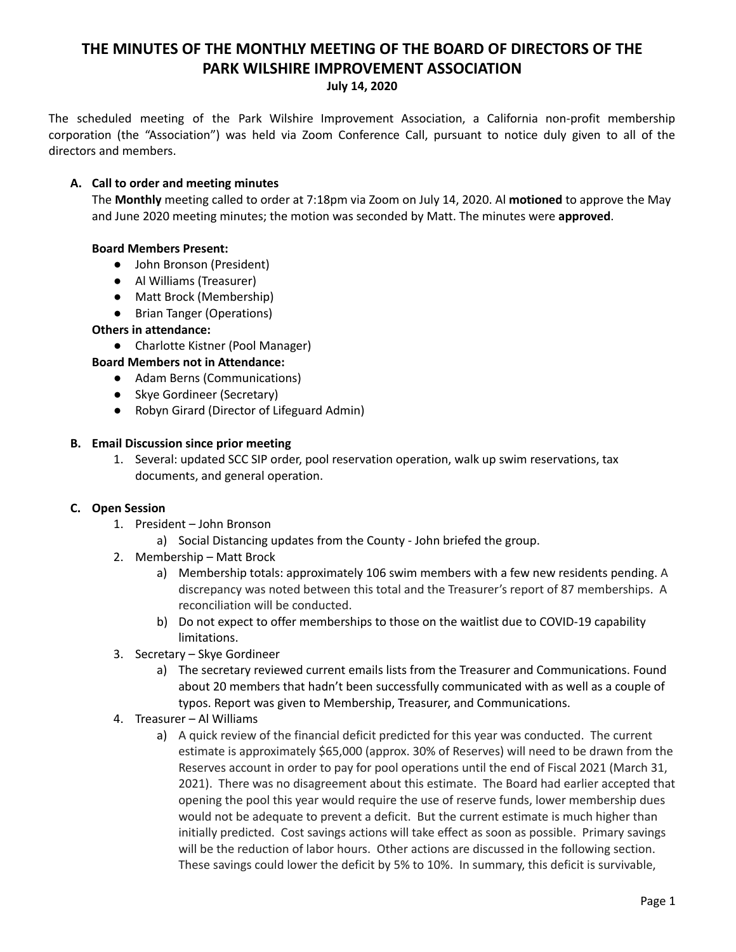# **THE MINUTES OF THE MONTHLY MEETING OF THE BOARD OF DIRECTORS OF THE PARK WILSHIRE IMPROVEMENT ASSOCIATION**

**July 14, 2020**

The scheduled meeting of the Park Wilshire Improvement Association, a California non-profit membership corporation (the "Association") was held via Zoom Conference Call, pursuant to notice duly given to all of the directors and members.

## **A. Call to order and meeting minutes**

The **Monthly** meeting called to order at 7:18pm via Zoom on July 14, 2020. Al **motioned** to approve the May and June 2020 meeting minutes; the motion was seconded by Matt. The minutes were **approved**.

## **Board Members Present:**

- John Bronson (President)
- **●** Al Williams (Treasurer)
- Matt Brock (Membership)
- Brian Tanger (Operations)

## **Others in attendance:**

● Charlotte Kistner (Pool Manager)

## **Board Members not in Attendance:**

- Adam Berns (Communications)
- Skye Gordineer (Secretary)
- Robyn Girard (Director of Lifeguard Admin)

#### **B. Email Discussion since prior meeting**

1. Several: updated SCC SIP order, pool reservation operation, walk up swim reservations, tax documents, and general operation.

#### **C. Open Session**

- 1. President John Bronson
	- a) Social Distancing updates from the County John briefed the group.
- 2. Membership Matt Brock
	- a) Membership totals: approximately 106 swim members with a few new residents pending. A discrepancy was noted between this total and the Treasurer's report of 87 memberships. A reconciliation will be conducted.
	- b) Do not expect to offer memberships to those on the waitlist due to COVID-19 capability limitations.
- 3. Secretary Skye Gordineer
	- a) The secretary reviewed current emails lists from the Treasurer and Communications. Found about 20 members that hadn't been successfully communicated with as well as a couple of typos. Report was given to Membership, Treasurer, and Communications.
- 4. Treasurer Al Williams
	- a) A quick review of the financial deficit predicted for this year was conducted. The current estimate is approximately \$65,000 (approx. 30% of Reserves) will need to be drawn from the Reserves account in order to pay for pool operations until the end of Fiscal 2021 (March 31, 2021). There was no disagreement about this estimate. The Board had earlier accepted that opening the pool this year would require the use of reserve funds, lower membership dues would not be adequate to prevent a deficit. But the current estimate is much higher than initially predicted. Cost savings actions will take effect as soon as possible. Primary savings will be the reduction of labor hours. Other actions are discussed in the following section. These savings could lower the deficit by 5% to 10%. In summary, this deficit is survivable,